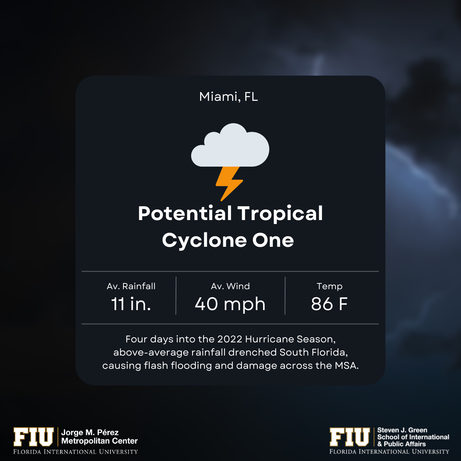



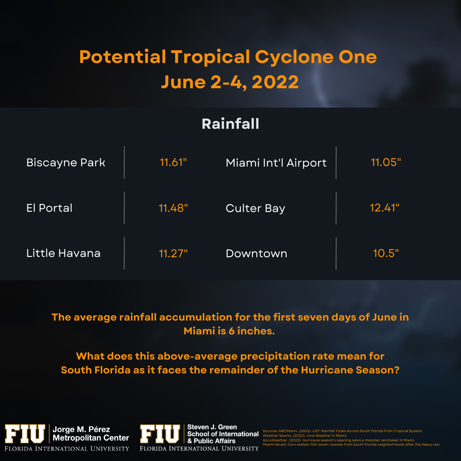# **Potential Tropical Cyclone One June 2-4, 2022**

### **Rainfall**

| <b>Biscayne Park</b> | 11.61" | Miami Int'l Airport | 11.05" |
|----------------------|--------|---------------------|--------|
| <b>El Portal</b>     | 11.48" | <b>Culter Bay</b>   | 12.41" |
| Little Havana        | 11.27" | Downtown            | 10.5"  |

#### **The average rainfall accumulation for the first seven days of June in Miami is 6 inches.**

**What does this above-average precipitation rate mean for South Florida as it faces the remainder of the Hurricane Season?**





Sources: NBCMiami. (2022). LIST: Rainfall Totals Across South Florida From Tropical System. Weather Sparks. (2022). June Weather in Miami.

AccuWeather. (2022). Hurricane season's opening salvo a monster rainmaker in Miami. ds after the heavy rain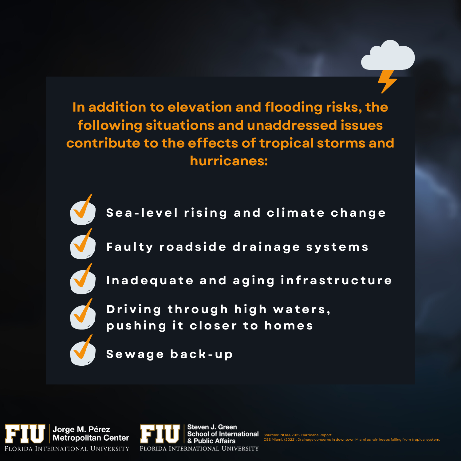In addition to elevation and flooding risks, the following situations and unaddressed issues contribute to the effects of tropical storms and hurricanes:



Sea-level rising and climate change



Faulty roadside drainage systems



Inadequate and aging infrastructure



Driving through high waters, pushing it closer to homes

Sewage back-up



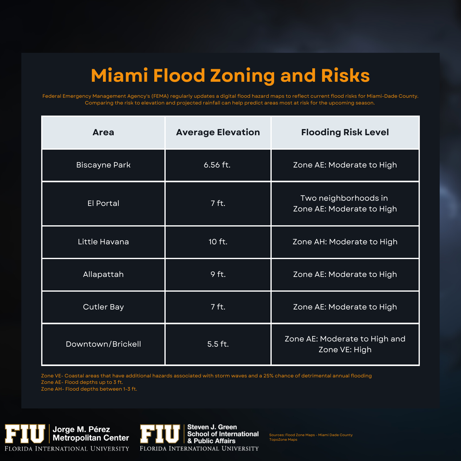## **Miami Flood Zoning and Risks**

Federal Emergency Management Agency's (FEMA) regularly updates a digital flood hazard maps to reflect current flood risks for Miami-Dade County. Comparing the risk to elevation and projected rainfall can help predict areas most at risk for the upcoming season.

| <b>Area</b>          | <b>Average Elevation</b> | <b>Flooding Risk Level</b>                        |
|----------------------|--------------------------|---------------------------------------------------|
| <b>Biscayne Park</b> | 6.56 ft.                 | Zone AE: Moderate to High                         |
| <b>El Portal</b>     | 7 ft.                    | Two neighborhoods in<br>Zone AE: Moderate to High |
| Little Havana        | 10 ft.                   | Zone AH: Moderate to High                         |
| Allapattah           | 9 ft.                    | Zone AE: Moderate to High                         |
| <b>Cutler Bay</b>    | 7 ft.                    | Zone AE: Moderate to High                         |
| Downtown/Brickell    | $5.5$ ft.                | Zone AE: Moderate to High and<br>Zone VE: High    |

Zone VE- Coastal areas that have additional hazards associated with storm waves and a 25% chance of detrimental annual flooding Zone AE- Flood depths up to 3 ft.

Zone AH- Flood depths between 1-3 ft.



Sources: Flood Zone Maps - Miami Dade County TopoZone Maps